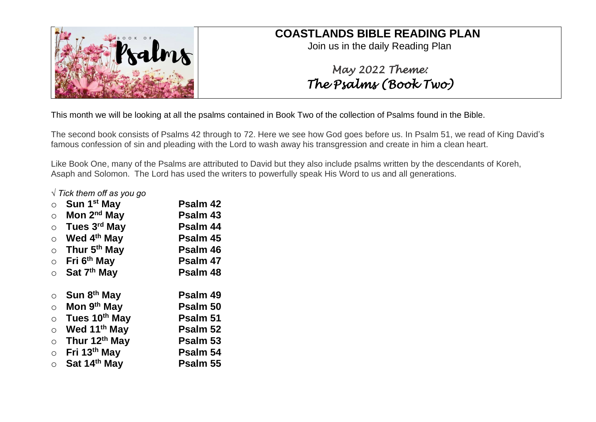

## **COASTLANDS BIBLE READING PLAN**

Join us in the daily Reading Plan

# *May 2022 Theme: The Psalms (Book Two)*

This month we will be looking at all the psalms contained in Book Two of the collection of Psalms found in the Bible.

The second book consists of Psalms 42 through to 72. Here we see how God goes before us. In Psalm 51, we read of King David's famous confession of sin and pleading with the Lord to wash away his transgression and create in him a clean heart.

Like Book One, many of the Psalms are attributed to David but they also include psalms written by the descendants of Koreh, Asaph and Solomon. The Lord has used the writers to powerfully speak His Word to us and all generations.

#### *√ Tick them off as you go*

| O       | Sun 1 <sup>st</sup> May  | Psalm 42 |
|---------|--------------------------|----------|
| $\circ$ | Mon 2 <sup>nd</sup> May  | Psalm 43 |
| $\circ$ | Tues 3rd May             | Psalm 44 |
| $\circ$ | Wed 4 <sup>th</sup> May  | Psalm 45 |
| $\circ$ | Thur 5 <sup>th</sup> May | Psalm 46 |
| $\circ$ | Fri 6 <sup>th</sup> May  | Psalm 47 |
| $\circ$ | Sat 7 <sup>th</sup> May  | Psalm 48 |
|         |                          |          |
| $\circ$ | Sun 8 <sup>th</sup> May  | Psalm 49 |
| $\circ$ | Mon 9 <sup>th</sup> May  | Psalm 50 |
| $\circ$ | Tues 10th May            | Psalm 51 |
| $\circ$ | Wed 11 <sup>th</sup> May | Psalm 52 |
| $\circ$ | Thur 12th May            | Psalm 53 |
| $\circ$ | Fri 13th May             | Psalm 54 |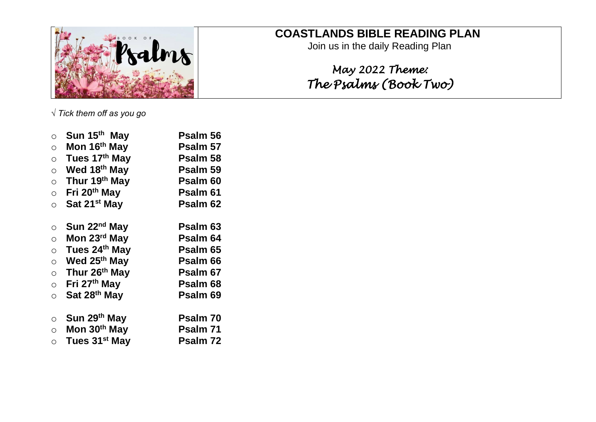

## **COASTLANDS BIBLE READING PLAN**

Join us in the daily Reading Plan

# *May 2022 Theme: The Psalms (Book Two)*

*√ Tick them off as you go*

| $\circ$    | Sun 15 <sup>th</sup> May  | Psalm 56            |
|------------|---------------------------|---------------------|
| $\circ$    | Mon 16 <sup>th</sup> May  | Psalm 57            |
| $\circ$    | Tues 17th May             | Psalm 58            |
| $\circ$    | Wed 18 <sup>th</sup> May  | Psalm 59            |
| $\circ$    | Thur 19th May             | Psalm <sub>60</sub> |
| $\circ$    | Fri 20 <sup>th</sup> May  | Psalm 61            |
| $\circ$    | Sat 21 <sup>st</sup> May  | Psalm <sub>62</sub> |
| $\circ$    | Sun 22 <sup>nd</sup> May  | Psalm 63            |
| $\bigcirc$ | Mon 23 <sup>rd</sup> May  | Psalm 64            |
| $\circ$    | Tues 24th May             | Psalm 65            |
| $\circ$    | Wed 25 <sup>th</sup> May  | Psalm 66            |
| $\circ$    | Thur 26th May             | Psalm 67            |
| $\circ$    | Fri 27 <sup>th</sup> May  | Psalm <sub>68</sub> |
| $\circ$    | Sat 28 <sup>th</sup> May  | Psalm 69            |
| $\circ$    | Sun 29th May              | Psalm 70            |
| $\bigcirc$ | Mon 30th May              | Psalm 71            |
| $\bigcirc$ | Tues 31 <sup>st</sup> May | Psalm 72            |